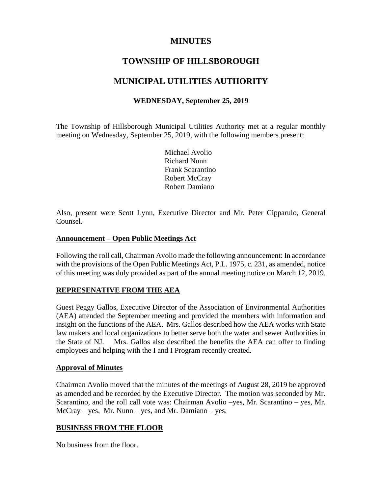## **MINUTES**

# **TOWNSHIP OF HILLSBOROUGH**

# **MUNICIPAL UTILITIES AUTHORITY**

## **WEDNESDAY, September 25, 2019**

The Township of Hillsborough Municipal Utilities Authority met at a regular monthly meeting on Wednesday, September 25, 2019, with the following members present:

> Michael Avolio Richard Nunn Frank Scarantino Robert McCray Robert Damiano

Also, present were Scott Lynn, Executive Director and Mr. Peter Cipparulo, General Counsel.

## **Announcement – Open Public Meetings Act**

Following the roll call, Chairman Avolio made the following announcement: In accordance with the provisions of the Open Public Meetings Act, P.L. 1975, c. 231, as amended, notice of this meeting was duly provided as part of the annual meeting notice on March 12, 2019.

## **REPRESENATIVE FROM THE AEA**

Guest Peggy Gallos, Executive Director of the Association of Environmental Authorities (AEA) attended the September meeting and provided the members with information and insight on the functions of the AEA. Mrs. Gallos described how the AEA works with State law makers and local organizations to better serve both the water and sewer Authorities in the State of NJ. Mrs. Gallos also described the benefits the AEA can offer to finding employees and helping with the I and I Program recently created.

## **Approval of Minutes**

Chairman Avolio moved that the minutes of the meetings of August 28, 2019 be approved as amended and be recorded by the Executive Director. The motion was seconded by Mr. Scarantino, and the roll call vote was: Chairman Avolio –yes, Mr. Scarantino – yes, Mr. McCray – yes, Mr. Nunn – yes, and Mr. Damiano – yes.

## **BUSINESS FROM THE FLOOR**

No business from the floor.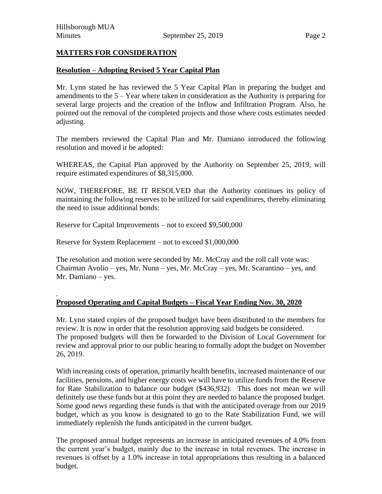.

#### **MATTERS FOR CONSIDERATION**

#### **Resolution – Adopting Revised 5 Year Capital Plan**

Mr. Lynn stated he has reviewed the 5 Year Capital Plan in preparing the budget and amendments to the 5 – Year where taken in consideration as the Authority is preparing for several large projects and the creation of the Inflow and Infiltration Program. Also, he pointed out the removal of the completed projects and those where costs estimates needed adjusting.

The members reviewed the Capital Plan and Mr. Damiano introduced the following resolution and moved it be adopted:

WHEREAS, the Capital Plan approved by the Authority on September 25, 2019, will require estimated expenditures of \$8,315,000.

NOW, THEREFORE, BE IT RESOLVED that the Authority continues its policy of maintaining the following reserves to be utilized for said expenditures, thereby eliminating the need to issue additional bonds:

Reserve for Capital Improvements – not to exceed \$9,500,000

Reserve for System Replacement – not to exceed \$1,000,000

The resolution and motion were seconded by Mr. McCray and the roll call vote was: Chairman Avolio – yes, Mr. Nunn – yes, Mr. McCray – yes, Mr. Scarantino – yes, and Mr. Damiano – yes.

#### **Proposed Operating and Capital Budgets – Fiscal Year Ending Nov. 30, 2020**

Mr. Lynn stated copies of the proposed budget have been distributed to the members for review. It is now in order that the resolution approving said budgets be considered. The proposed budgets will then be forwarded to the Division of Local Government for review and approval prior to our public hearing to formally adopt the budget on November 26, 2019.

With increasing costs of operation, primarily health benefits, increased maintenance of our facilities, pensions, and higher energy costs we will have to utilize funds from the Reserve for Rate Stabilization to balance our budget (\$436,932). This does not mean we will definitely use these funds but at this point they are needed to balance the proposed budget. Some good news regarding these funds is that with the anticipated overage from our 2019 budget, which as you know is designated to go to the Rate Stabilization Fund, we will immediately replenish the funds anticipated in the current budget.

The proposed annual budget represents an increase in anticipated revenues of 4.0% from the current year's budget, mainly due to the increase in total revenues. The increase in revenues is offset by a 1.0% increase in total appropriations thus resulting in a balanced budget.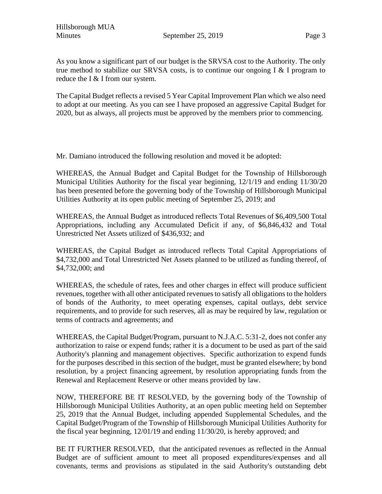As you know a significant part of our budget is the SRVSA cost to the Authority. The only true method to stabilize our SRVSA costs, is to continue our ongoing  $I \& I$  program to reduce the I & I from our system.

The Capital Budget reflects a revised 5 Year Capital Improvement Plan which we also need to adopt at our meeting. As you can see I have proposed an aggressive Capital Budget for 2020, but as always, all projects must be approved by the members prior to commencing.

Mr. Damiano introduced the following resolution and moved it be adopted:

WHEREAS, the Annual Budget and Capital Budget for the Township of Hillsborough Municipal Utilities Authority for the fiscal year beginning, 12/1/19 and ending 11/30/20 has been presented before the governing body of the Township of Hillsborough Municipal Utilities Authority at its open public meeting of September 25, 2019; and

WHEREAS, the Annual Budget as introduced reflects Total Revenues of \$6,409,500 Total Appropriations, including any Accumulated Deficit if any, of \$6,846,432 and Total Unrestricted Net Assets utilized of \$436,932; and

WHEREAS, the Capital Budget as introduced reflects Total Capital Appropriations of \$4,732,000 and Total Unrestricted Net Assets planned to be utilized as funding thereof, of \$4,732,000; and

WHEREAS, the schedule of rates, fees and other charges in effect will produce sufficient revenues, together with all other anticipated revenues to satisfy all obligations to the holders of bonds of the Authority, to meet operating expenses, capital outlays, debt service requirements, and to provide for such reserves, all as may be required by law, regulation or terms of contracts and agreements; and

WHEREAS, the Capital Budget/Program, pursuant to N.J.A.C. 5:31-2, does not confer any authorization to raise or expend funds; rather it is a document to be used as part of the said Authority's planning and management objectives. Specific authorization to expend funds for the purposes described in this section of the budget, must be granted elsewhere; by bond resolution, by a project financing agreement, by resolution appropriating funds from the Renewal and Replacement Reserve or other means provided by law.

NOW, THEREFORE BE IT RESOLVED, by the governing body of the Township of Hillsborough Municipal Utilities Authority, at an open public meeting held on September 25, 2019 that the Annual Budget, including appended Supplemental Schedules, and the Capital Budget/Program of the Township of Hillsborough Municipal Utilities Authority for the fiscal year beginning, 12/01/19 and ending 11/30/20, is hereby approved; and

BE IT FURTHER RESOLVED, that the anticipated revenues as reflected in the Annual Budget are of sufficient amount to meet all proposed expenditures/expenses and all covenants, terms and provisions as stipulated in the said Authority's outstanding debt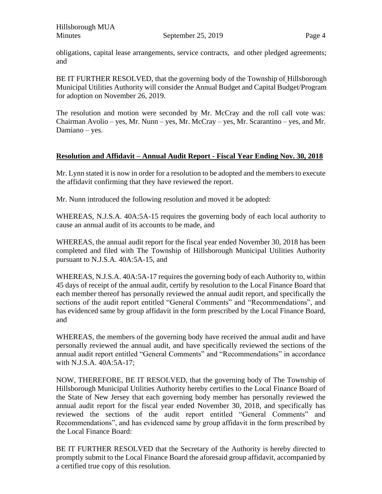Hillsborough MUA Minutes September 25, 2019

obligations, capital lease arrangements, service contracts, and other pledged agreements; and

BE IT FURTHER RESOLVED, that the governing body of the Township of Hillsborough Municipal Utilities Authority will consider the Annual Budget and Capital Budget/Program for adoption on November 26, 2019.

The resolution and motion were seconded by Mr. McCray and the roll call vote was: Chairman Avolio – yes, Mr. Nunn – yes, Mr. McCray – yes, Mr. Scarantino – yes, and Mr. Damiano – yes.

## **Resolution and Affidavit – Annual Audit Report - Fiscal Year Ending Nov. 30, 2018**

Mr. Lynn stated it is now in order for a resolution to be adopted and the members to execute the affidavit confirming that they have reviewed the report.

Mr. Nunn introduced the following resolution and moved it be adopted:

WHEREAS, N.J.S.A. 40A:5A-15 requires the governing body of each local authority to cause an annual audit of its accounts to be made, and

WHEREAS, the annual audit report for the fiscal year ended November 30, 2018 has been completed and filed with The Township of Hillsborough Municipal Utilities Authority pursuant to N.J.S.A. 40A:5A-15, and

WHEREAS, N.J.S.A. 40A:5A-17 requires the governing body of each Authority to, within 45 days of receipt of the annual audit, certify by resolution to the Local Finance Board that each member thereof has personally reviewed the annual audit report, and specifically the sections of the audit report entitled "General Comments" and "Recommendations", and has evidenced same by group affidavit in the form prescribed by the Local Finance Board, and

WHEREAS, the members of the governing body have received the annual audit and have personally reviewed the annual audit, and have specifically reviewed the sections of the annual audit report entitled "General Comments" and "Recommendations" in accordance with N.J.S.A. 40A:5A-17;

NOW, THEREFORE, BE IT RESOLVED, that the governing body of The Township of Hillsborough Municipal Utilities Authority hereby certifies to the Local Finance Board of the State of New Jersey that each governing body member has personally reviewed the annual audit report for the fiscal year ended November 30, 2018, and specifically has reviewed the sections of the audit report entitled "General Comments" and Recommendations", and has evidenced same by group affidavit in the form prescribed by the Local Finance Board:

BE IT FURTHER RESOLVED that the Secretary of the Authority is hereby directed to promptly submit to the Local Finance Board the aforesaid group affidavit, accompanied by a certified true copy of this resolution.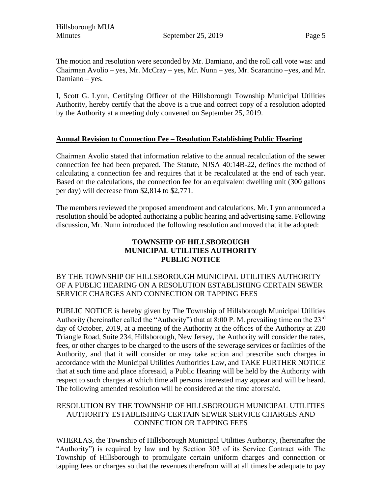The motion and resolution were seconded by Mr. Damiano, and the roll call vote was: and Chairman Avolio – yes, Mr. McCray – yes, Mr. Nunn – yes, Mr. Scarantino –yes, and Mr. Damiano – yes.

I, Scott G. Lynn, Certifying Officer of the Hillsborough Township Municipal Utilities Authority, hereby certify that the above is a true and correct copy of a resolution adopted by the Authority at a meeting duly convened on September 25, 2019.

## **Annual Revision to Connection Fee – Resolution Establishing Public Hearing**

Chairman Avolio stated that information relative to the annual recalculation of the sewer connection fee had been prepared. The Statute, NJSA 40:14B-22, defines the method of calculating a connection fee and requires that it be recalculated at the end of each year. Based on the calculations, the connection fee for an equivalent dwelling unit (300 gallons per day) will decrease from \$2,814 to \$2,771.

The members reviewed the proposed amendment and calculations. Mr. Lynn announced a resolution should be adopted authorizing a public hearing and advertising same. Following discussion, Mr. Nunn introduced the following resolution and moved that it be adopted:

## **TOWNSHIP OF HILLSBOROUGH MUNICIPAL UTILITIES AUTHORITY PUBLIC NOTICE**

#### BY THE TOWNSHIP OF HILLSBOROUGH MUNICIPAL UTILITIES AUTHORITY OF A PUBLIC HEARING ON A RESOLUTION ESTABLISHING CERTAIN SEWER SERVICE CHARGES AND CONNECTION OR TAPPING FEES

PUBLIC NOTICE is hereby given by The Township of Hillsborough Municipal Utilities Authority (hereinafter called the "Authority") that at 8:00 P. M. prevailing time on the 23<sup>rd</sup> day of October, 2019, at a meeting of the Authority at the offices of the Authority at 220 Triangle Road, Suite 234, Hillsborough, New Jersey, the Authority will consider the rates, fees, or other charges to be charged to the users of the sewerage services or facilities of the Authority, and that it will consider or may take action and prescribe such charges in accordance with the Municipal Utilities Authorities Law, and TAKE FURTHER NOTICE that at such time and place aforesaid, a Public Hearing will be held by the Authority with respect to such charges at which time all persons interested may appear and will be heard. The following amended resolution will be considered at the time aforesaid.

#### RESOLUTION BY THE TOWNSHIP OF HILLSBOROUGH MUNICIPAL UTILITIES AUTHORITY ESTABLISHING CERTAIN SEWER SERVICE CHARGES AND CONNECTION OR TAPPING FEES

WHEREAS, the Township of Hillsborough Municipal Utilities Authority, (hereinafter the "Authority") is required by law and by Section 303 of its Service Contract with The Township of Hillsborough to promulgate certain uniform charges and connection or tapping fees or charges so that the revenues therefrom will at all times be adequate to pay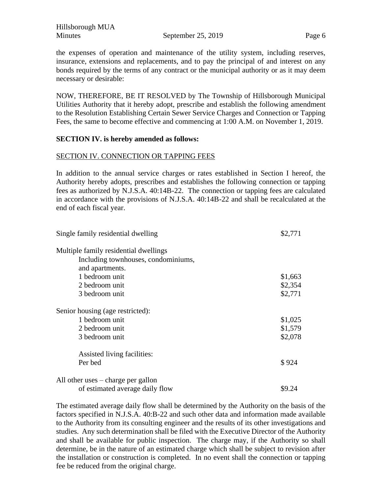the expenses of operation and maintenance of the utility system, including reserves, insurance, extensions and replacements, and to pay the principal of and interest on any bonds required by the terms of any contract or the municipal authority or as it may deem necessary or desirable:

NOW, THEREFORE, BE IT RESOLVED by The Township of Hillsborough Municipal Utilities Authority that it hereby adopt, prescribe and establish the following amendment to the Resolution Establishing Certain Sewer Service Charges and Connection or Tapping Fees, the same to become effective and commencing at 1:00 A.M. on November 1, 2019.

#### **SECTION IV. is hereby amended as follows:**

#### SECTION IV. CONNECTION OR TAPPING FEES

In addition to the annual service charges or rates established in Section I hereof, the Authority hereby adopts, prescribes and establishes the following connection or tapping fees as authorized by N.J.S.A. 40:14B-22. The connection or tapping fees are calculated in accordance with the provisions of N.J.S.A. 40:14B-22 and shall be recalculated at the end of each fiscal year.

| Single family residential dwelling    | \$2,771 |
|---------------------------------------|---------|
| Multiple family residential dwellings |         |
| Including townhouses, condominiums,   |         |
| and apartments.                       |         |
| 1 bedroom unit                        | \$1,663 |
| 2 bedroom unit                        | \$2,354 |
| 3 bedroom unit                        | \$2,771 |
| Senior housing (age restricted):      |         |
| 1 bedroom unit                        | \$1,025 |
| 2 bedroom unit                        | \$1,579 |
| 3 bedroom unit                        | \$2,078 |
| Assisted living facilities:           |         |
| Per bed                               | \$924   |
| All other uses $-$ charge per gallon  |         |
| of estimated average daily flow       | \$9.24  |

The estimated average daily flow shall be determined by the Authority on the basis of the factors specified in N.J.S.A. 40:B-22 and such other data and information made available to the Authority from its consulting engineer and the results of its other investigations and studies. Any such determination shall be filed with the Executive Director of the Authority and shall be available for public inspection. The charge may, if the Authority so shall determine, be in the nature of an estimated charge which shall be subject to revision after the installation or construction is completed. In no event shall the connection or tapping fee be reduced from the original charge.